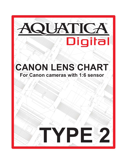

# —<br>∕7‼7 **For Canon cameras with 1:6 sensor**  135° **CANON LENS CHART** 3.835 NO

029.9

.<br>000

8.190



14°

r 360

Sol.5.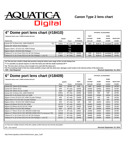

## **4" Dome port lens chart (#18410)**

 $*$  Neoprene dome cover # 18508 included with port

|                                                       |        | <b>GEARS</b> |              | <b>PORT</b>      | <b>LOCKING</b> | <b>DOME</b>  | <b>SHADE</b> | <b>REAR POR</b> |
|-------------------------------------------------------|--------|--------------|--------------|------------------|----------------|--------------|--------------|-----------------|
| Camera lens                                           |        | Zoom         | <b>Focus</b> | <b>EXTENSION</b> | <b>COLLAR</b>  | <b>SHADE</b> | <b>COVER</b> | <b>COVER</b>    |
| Canon EF 8-15mm f/4L USM FISHEYE                      | $*(1)$ | 19001        | AF Only      | 18463            | N/R            | Built-In     | Included     | 18790           |
| Canon EF 15mm f/2.8 Fisheye                           |        |              | $*(2)$       |                  |                |              |              |                 |
| Sigma 10mm f/2.8 EX DC HSM Fisheve                    |        |              | $*(3)$       |                  |                |              |              |                 |
| Sigma 15mm f/2.8 EX DG Fisheye                        |        |              | $*(3)$       |                  |                |              |              |                 |
| Tokina AT-X 10-17mm f/3.5-4.5 AF DX Fisheve           |        | 18717        | AF Only      | 18456            | N/R            | Built-In     | Included     | 18790           |
| Tokina AT-X 10-17mm f/3.5-4.5 AF DX Fisheye + 1.4x TC |        | 17831        | AF Only      | 18453            | N/R            | Built-In     | Included     | 18790           |
|                                                       |        |              |              |                  |                |              |              |                 |

|                |                | <b>OPTIONAL ACCESSORIES</b> |              |                  |  |  |  |  |  |
|----------------|----------------|-----------------------------|--------------|------------------|--|--|--|--|--|
|                | <b>PORT</b>    |                             | <b>DOME</b>  |                  |  |  |  |  |  |
| PORT           | <b>LOCKING</b> | <b>DOME</b>                 | <b>SHADE</b> | <b>REAR PORT</b> |  |  |  |  |  |
| <b>TENSION</b> | <b>COLLAR</b>  | <b>SHADE</b>                | <b>COVER</b> | <b>COVER</b>     |  |  |  |  |  |
| 8463           | N/R            | Built-In                    | Included     | 18790            |  |  |  |  |  |
|                |                |                             |              |                  |  |  |  |  |  |
|                |                |                             |              |                  |  |  |  |  |  |
|                |                |                             |              |                  |  |  |  |  |  |
| 8456           | N/R            | Built-In                    | Included     | 18790            |  |  |  |  |  |
| 8453           | N/R            | Built-In                    | Included     | 18790            |  |  |  |  |  |
|                |                |                             |              |                  |  |  |  |  |  |

**\*(1) This port has a built-in shade that prevents using the whole zoom range of this circular fisheye lens**

**\*\*\* It is possible, by special request, to order this dome port with the shade machined off \*\*\***

**\*(2) This lens does not focus close enough to be used with this dome port.**

**\*(3) The protubing length of this lens shade prohibits using it with this dome port, damages could results to the internal surface of the dome lens N/R = Not Required Revised September 10, 2014**

## **6" Dome port lens chart (#18409) OPTIONAL ACCESSORIES**

| * Neoprene dome cover #18502 included with port             |              |              |                  | PORT           |              | <b>DOME</b>  |                  |
|-------------------------------------------------------------|--------------|--------------|------------------|----------------|--------------|--------------|------------------|
|                                                             | <b>GEARS</b> |              | <b>PORT</b>      | <b>LOCKING</b> | <b>DOME</b>  | <b>SHADE</b> | <b>REAR PORT</b> |
| <b>Camera lens</b>                                          | Zoom         | <b>Focus</b> | <b>EXTENSION</b> | <b>COLLAR</b>  | <b>SHADE</b> | <b>COVER</b> | <b>COVER</b>     |
| Canon EF 15mm f/2.8 Fisheye                                 | N/R          | 18702        | N/R              | N/R            | 18484        | 18504        | 18790            |
| ICanon EF 20mm f/2.8                                        | N/R          | AF only      | 18456            | 18469          | 18484        | 18504        | 18790            |
| Canon EF 24mm f/1.4L II USM                                 | N/R          | 19002        | 18456            | 18469          | 18484        | 18504        | 18790            |
| IICanon EF 8-15mm f/4L USM FISHEYE                          | 19001        | AF only      | 18463            | 18469          | N/R          | N/R          | 18790            |
| Canon EF-S 10-22mm f/3.5-4.5 USM                            | 18706        | AF only      | 18453            | 18469          | 18484        | 18504        | 18790            |
| Sigma 4.5mm f/2.8 EX DC HSM Circular Fisheye                | N/R          | AF only      | 18456            | 18469          | N/R          | N/R          | 18790            |
| Sigma 8mm F3.5 EX DG Circular Fisheye                       | N/R          | AF only      | 18456            | 18469          | N/R          | N/R          | 18790            |
| Sigma 10mm f/2.8 EX DC HSM Fisheye                          | N/R          | AF only      | N/R              | N/R            | 18484        | 18504        | 18790            |
| Sigma 10-20mm f/3.5 EX DC HSM                               | 18770        | AF only      | 18453            | 18469          | 18484        | 18504        | 18790            |
| Sigma 10-20mm f/4-5.6 EX DC HSM                             | 18698        | AF only      | 18453            | 18469          | 18484        | 18504        | 18790            |
| Sigma 15mm F2.8 EX DG Fisheye                               | N/R          | 18715        | N/R              | N/R            | 18484        | 18504        | 18790            |
| Sigma 17-70mm f/2.8-4 DC MACRO (HSM OS)                     | 18719        | AF only      | 18462            | 18469          | 18484        | 18504        | 18790            |
| Sigma 17-70mm f/2.8-4 DC MACRO (HSM OS) © Contemporary *(1) | 19008        | AF only      | 18457            | 18469          | 18484        | 18504        | 18790            |
| Tokina AT-X 10-17mm f/3.5-4.5 AF DX Fisheve                 | 18717        | AF only      | 18456            | 18469          | 18484        | 18504        | 18790            |
| Tokina AT-X 10-17mm f/3.5-4.5 AF DX Fisheye + 1.4x TC       | 18731        | AF only      | 18456            | 18469          | 18484        | 18504        | 18790            |
|                                                             |              |              |                  |                |              |              |                  |

(1) There are multiple versions of this lens, please confirm that your lens fits this description

N/R = Not required **Revised September 10, 2014**

http://www.aquatica.ca/en/charts/canon\_type\_2.pdf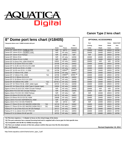

| * Neoprene dome cover #18500 included with port<br><b>Camera lens</b><br>Canon EF 14mm f/2.8 L TYPE II USM | Zoom<br>N/R<br>N/R | Gears<br><b>Focus</b><br>18771 | Port<br>Extension | Port<br>Locking |       | Dome  | <b>REAR PORT</b> |
|------------------------------------------------------------------------------------------------------------|--------------------|--------------------------------|-------------------|-----------------|-------|-------|------------------|
|                                                                                                            |                    |                                |                   |                 |       |       |                  |
|                                                                                                            |                    |                                |                   |                 | Dome  | Shade | Port             |
|                                                                                                            |                    |                                |                   | Collar          | Shade | Cover | Cover            |
|                                                                                                            |                    |                                | 18462             | 18469           | 18480 | 18503 | 18790            |
| Canon EF 14mm f/2.8 L OLDER TYPE                                                                           |                    | AF only                        | 18453             | 18469           | 18480 | 18503 | 18790            |
| Canon EF 15mm f/2.8 Fisheye                                                                                | N/R                | 18702                          | N/R               | N/R             | 18480 | 18503 | 18790            |
| Canon EF 20mm f/2.8                                                                                        | N/R                | AF only                        | 18456             | 18469           | 18480 | 18503 | 18790            |
| Canon EF 24mm f/1.4L II USM                                                                                | N/R                | 19002                          | 18456             | 18469           | 18480 | 18503 | 18790            |
| Canon EF 8-15mm f/4L USM FISHEYE                                                                           | 19001              | AF only                        | 18463             | 18469           | N/R   | N/R   | 18790            |
| Canon EF-S 10-22mm f/3.5-4.5 USM                                                                           | 18706              | AF only                        | 18453             | 18469           | 18480 | 18503 | 18790            |
| Canon EF-S 15-85 mm f/3.5-5.6 IS USM                                                                       | 18730              | AF only                        | 18458             | 18469           | 18480 | 18503 | 18790            |
| Canon EF 16-35 mm f/2.8 L II USM                                                                           | 18708              | AF only                        | 18457             | 18469           | 18480 | 18503 | 18790            |
| Canon EF 16-35 mm f/2.8 L II USM<br>$*(2)$                                                                 | 18708              | 19064 <sup>(2)</sup>           | $18464^{(2)}$     | 18469           | 18480 | 18503 | 18790            |
| Canon EF 17-40mm F/4L USM                                                                                  | 18708              | AF only                        | 18457             | 18469           | 18480 | 18503 | 18790            |
| Canon EF 17-40mm F/4L USM<br>$*(2)$                                                                        | 18708              | $19065^{(2)}$                  | $18465^{(2)}$     | 18469           | 18480 | 18503 | 18790            |
| Canon EF-S 17-85mm f/4-5.6 IS                                                                              | 18707              | AF only                        | 18453             | 18469           | 18480 | 18503 | 18790            |
| Canon EF-S 18-55mm f/3.5-5.6 USM                                                                           | 18703              | AF only                        | 18456             | 18469           | 18480 | 18503 | 18790            |
| Canon EF 24-105mm f/4L USM<br>$*(1)$                                                                       | 18700.1            | AF only                        | 18458             | 18469           | 18480 | 18503 | 18790            |
| Canon EF 24-70mm f/2.8L USM (older type)<br>$*(3)$                                                         | 18723              | AF only                        | 18458             | 18469           | 18480 | 18503 | 18790            |
| Canon EF 24-70mm f/2.8L USM Type II (newer type)                                                           | 19004              | AF only                        | 18458             | 18469           | 18480 | 18503 | 18790            |
| Sigma 4.5mm f/2.8 EX DC HSM Circular Fisheye                                                               | N/R                | AF only                        | 18456             | 18469           | N/R   | N/R   | 18790            |
| Sigma 8mm F3.5 EX DG Circular Fisheye                                                                      | N/R                | AF only                        | 18456             | 18469           | N/R   | N/R   | 18790            |
| Sigma 10mm F2.8 EX DC HSM Fisheye                                                                          | N/R                | AF only                        | N/R               | N/R             | 18480 | 18503 | 18790            |
| Sigma 10-20mm f/3.5 EX DC HSM                                                                              | 18770              | AF only                        | 18453             | 18469           | 18480 | 18503 | 18790            |
| Sigma 10-20mm f/4-5.6 EX DC HSM                                                                            | 18698              | AF only                        | 18453             | 18469           | 18480 | 18503 | 18790            |
| Sigma 14mm F2.8 EX ASPHERICAL HSM                                                                          | N/R                | AF only                        | 18462             | 18469           | 18480 | 18503 | 18790            |
| Sigma 15mm F2.8 EX DG FISHEYE                                                                              | N/R                | 18715                          | N/R               | N/R             | 18480 | 18503 | 18790            |
| Sigma 17-70mm f/2.8-4 DC MACRO (HSM OS)<br>$*(4)$                                                          | 18719              | AF only                        | 18462             | 18469           | 18480 | 18503 | 18790            |
| Sigma 17-70mm f/2.8-4 DC MACRO (HSM OS) ©<br>$*(4)$                                                        | 19008              | AF only                        | 18457             | 18469           | 18480 | 18503 | 18790            |
| Tokina AT-X 10-17mm f/3.5-4.5 AF DX Fisheye                                                                | 18717              | AF only                        | 18456             | 18469           | 18480 | 18503 | 18790            |
| Tokina AT-X 11-16mm f/2.8 AF PRO DX                                                                        | 18722              | AF only                        | 18453             | 18469           | 18480 | 18503 | 18790            |
| Tokina AT-X 12-24mm f/4 AF pro DX                                                                          | 18722              | AF only                        | 18453             | 18469           | 18480 | 18503 | 18790            |

 **\*(1) This lens requires a + 3 diopter to focus on the virtual image of the dome.**

 **\*(2) This port extension has a manual focusing knob and is supplied with a focus gear for that specific lens.**

 **\*(3) Compatible with 5D Mk II (# 20062) housings only.**

 **\*(4) There are multiple versions of this lens, please confirm that your lens fits this description.**

http://www.aquatica.ca/en/charts/canon\_type\_2.pdf

**N/R = Not Required Revised September 10, 2014**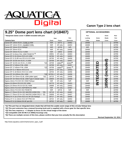

#### **9.25" Dome port lens chart (#18407)** OPTIONAL ACCESSORIES **\* Neoprene dome cover # 18506 included with port Port Dome Rear Port Locking Dome Shade Port Camera lens Zoom Focus Extension Collar Shade Cover Cover** Canon EF 14mm f/2.8 L TYPE II USM | N/R | 18771 | 18462 | | | 18469 | | | | | | 18790 Canon EF 14mm f/2.8 L OLDER TYPE NR NR | AF only | 18453 | | | | 18469 | | | | | 18790 Canon EF 15mm f/2.8 Fisheye N/R 18702 N/R N/R 18790 Canon EF 20mm f/2.8 N/R AF only 18456 18469 18790 Canon EF 24mm f/1.4L II USM NORTH SAND READER NORTH N/R | 19002 | 18456 | | | | 18469 | | | | | | 18790 Canon EF 8-15mm f/4L USM FISHEYE<sup>(1)</sup> | 19001 | AF only | 18463 | | | | 18469 | | | | | 18790 Canon EF-S 10-22mm f/3.5-4.5 USM 18706 | AF only | 18453 | | | 18469 | | | | 18790 Canon EF-S 15-85 mm f/3.5-5.6 IS USM | 18730 | AF only | 18458 | | | | 18469 | | | | | 18790 Canon EF 16-35 mm f/2.8 L II USM  $\begin{bmatrix} 18708 \\ -18708 \\ -20000 \end{bmatrix}$   $\begin{bmatrix} 18708 \\ 18708 \\ -18708 \\ -18708 \\ -18708 \\ -18708 \\ -18708 \\ -18708 \\ -18708 \\ -18708 \\ -18708 \\ -18708 \\ -18708 \\ -18708 \\ -18700 \\ -18700 \\ -18700 \\ -18700 \\ -18700 \\ -18700 \\ -18700$ Canon EF 16-35 mm f/2.8 L II USM \*(2) 18708 19064<sup>(2)</sup> 18464<sup>(2)</sup> 18464<sup>(2)</sup> 18469 **1906 18790** 18790<br>Canon EF 17-40mm F/4L USM 18700 18708 AF only 18457 18459 18469 **181 191** 18790 Canon EF 17-40mm F/4L USM 18708 AF only 18457<br>Canon EF 17-40mm F/4L USM 18708 19065<sup>(2)</sup> 18708 18465<sup>(2)</sup> 18465<sup>(2)</sup> 18469 18469 18790<br>Canon EF-S 17-85mm f/4-5.6 IS 18790 18707 AF only 18453 18469 18469 18790 Canon EF 17-40mm F/4L USM \*(2) 18708 19065**(2)** 18465 **(2)** 18469 18790 Canon EF-S 17-85mm f/4-5.6 IS 18700 18707 AF only 18453 1 18469  $\bigcup$  18469 18790 Canon EF-S 18-55mm f/3.5-5.6 USM 18703 AF only 18456 18469 18790 Canon EF 24-105mm f/4L USM  $(3)$  18700.1 | AF only | 18458 | | | 18469 |  $\overline{3}$  |  $\overline{1}$  | 18790 Canon EF 24-70mm f/2.8L USM (older type) \*(4) 18723 AF only 18458 18469 18790<br>Canon EF 24-70mm f/2.8L USM Type II (newer type) 19004 AF only 18458 18469 18790 18790 18790 18790 18790 18790<br>Sigma 10-20mm f/3.5 EX DC HSM 18 Canon EF 24-70mm f/2.8L USM Type II (newer type) 19004 AF only 18458 18469 18790 Sigma 10mm F2.8 EX DC HSM Fisheye N/R AF only N/R N/R 18790 Sigma 10-20mm f/3.5 EX DC HSM 18770 AF only 18453 18469 18790 Sigma 10-20mm f/4-5.6 EX DC HSM | 18698 | AF only | 18453 || || 18469 | | | 18790 Sigma 14mm F2.8 EX ASPHERICAL HSM  $\parallel$  N/R  $\parallel$  AF only | 18462  $\parallel$  | | 18469 |  $\parallel$  |  $\parallel$  18790 Sigma 15mm F2.8 EX DG FISHEYE N/R 18715 N/R N/R 18790 Sigma 17-70mm f/2.8-4 DC MACRO (HSM OS) \*(5) | 18719 | AF only | 18462 | | | | 18469 | | | | | 18790 Sigma 17-70mm f/2.8-4 DC MACRO (HSM OS) © \*(5) | 19008 | AF only | 18457 | | | | 18469 | | | | | 18790 Tokina AT-X 10-17mm f/3.5-4.5 AF DX Fisheye 18717 AF only 18456 1890 18790 18790 Tokina AT-X 11-16mm f/2.8 AF PRO DX | 18722 | AF only | 18453 | | | | 18469 | | | | | 18790 Tokina AT-X 12-24mm f/4 AF pro DX 18722 | AF only | 18453 | | | 18469 | | | | 18790 **Gear INTEGRATED 18506 (included)**

 **\*(1) This port has an integrated dome shade that will limit the usable zoom range of this circular fisheye lens**

 **\*(2) This port extension has a manual focusing knob and is supplied with a focus gear for that specific lens.**

 **\*(3) This lens requires a + 3 diopter to focus on the virtual image of the dome**

 **\*(4) Compatible with 5D Mk II (# 20062) housings only**

 **\*(5) There are multiple version of this lens, please confirm that your lens actually fits this description**

**Revised September 10, 2014**

http://www.aquatica.ca/en/charts/canon\_type\_2.pdf